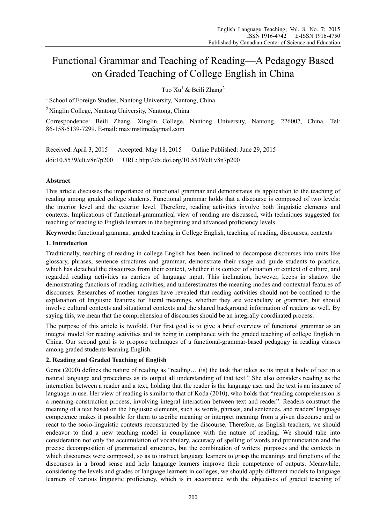# Functional Grammar and Teaching of Reading—A Pedagogy Based on Graded Teaching of College English in China

Tuo Xu<sup>1</sup> & Beili Zhang<sup>2</sup>

<sup>1</sup> School of Foreign Studies, Nantong University, Nantong, China

<sup>2</sup> Xinglin College, Nantong University, Nantong, China

Correspondence: Beili Zhang, Xinglin College, Nantong University, Nantong, 226007, China. Tel: 86-158-5139-7299. E-mail: maximstime@gmail.com

Received: April 3, 2015 Accepted: May 18, 2015 Online Published: June 29, 2015 doi:10.5539/elt.v8n7p200 URL: http://dx.doi.org/10.5539/elt.v8n7p200

# **Abstract**

This article discusses the importance of functional grammar and demonstrates its application to the teaching of reading among graded college students. Functional grammar holds that a discourse is composed of two levels: the interior level and the exterior level. Therefore, reading activities involve both linguistic elements and contexts. Implications of functional-grammatical view of reading are discussed, with techniques suggested for teaching of reading to English learners in the beginning and advanced proficiency levels.

**Keywords:** functional grammar, graded teaching in College English, teaching of reading, discourses, contexts

# **1. Introduction**

Traditionally, teaching of reading in college English has been inclined to decompose discourses into units like glossary, phrases, sentence structures and grammar, demonstrate their usage and guide students to practice, which has detached the discourses from their context, whether it is context of situation or context of culture, and regarded reading activities as carriers of language input. This inclination, however, keeps in shadow the demonstrating functions of reading activities, and underestimates the meaning modes and contextual features of discourses. Researches of mother tongues have revealed that reading activities should not be confined to the explanation of linguistic features for literal meanings, whether they are vocabulary or grammar, but should involve cultural contexts and situational contexts and the shared background information of readers as well. By saying this, we mean that the comprehension of discourses should be an integrally coordinated process.

The purpose of this article is twofold. Our first goal is to give a brief overview of functional grammar as an integral model for reading activities and its being in compliance with the graded teaching of college English in China. Our second goal is to propose techniques of a functional-grammar-based pedagogy in reading classes among graded students learning English.

# **2. Reading and Graded Teaching of English**

Gerot (2000) defines the nature of reading as "reading... (is) the task that takes as its input a body of text in a natural language and procedures as its output all understanding of that text." She also considers reading as the interaction between a reader and a text, holding that the reader is the language user and the text is an instance of language in use. Her view of reading is similar to that of Koda (2010), who holds that "reading comprehension is a meaning-construction process, involving integral interaction between text and reader". Readers construct the meaning of a text based on the linguistic elements, such as words, phrases, and sentences, and readers' language competence makes it possible for them to ascribe meaning or interpret meaning from a given discourse and to react to the socio-linguistic contexts reconstructed by the discourse. Therefore, as English teachers, we should endeavor to find a new teaching model in compliance with the nature of reading. We should take into consideration not only the accumulation of vocabulary, accuracy of spelling of words and pronunciation and the precise decomposition of grammatical structures, but the combination of writers' purposes and the contexts in which discourses were composed, so as to instruct language learners to grasp the meanings and functions of the discourses in a broad sense and help language learners improve their competence of outputs. Meanwhile, considering the levels and grades of language learners in colleges, we should apply different models to language learners of various linguistic proficiency, which is in accordance with the objectives of graded teaching of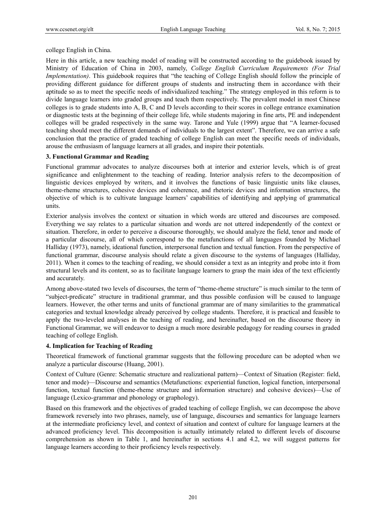college English in China.

Here in this article, a new teaching model of reading will be constructed according to the guidebook issued by Ministry of Education of China in 2003, namely, *College English Curriculum Requirements (For Trial Implementation*). This guidebook requires that "the teaching of College English should follow the principle of providing different guidance for different groups of students and instructing them in accordance with their aptitude so as to meet the specific needs of individualized teaching." The strategy employed in this reform is to divide language learners into graded groups and teach them respectively. The prevalent model in most Chinese colleges is to grade students into A, B, C and D levels according to their scores in college entrance examination or diagnostic tests at the beginning of their college life, while students majoring in fine arts, PE and independent colleges will be graded respectively in the same way. Tarone and Yule (1999) argue that "A learner-focused teaching should meet the different demands of individuals to the largest extent". Therefore, we can arrive a safe conclusion that the practice of graded teaching of college English can meet the specific needs of individuals, arouse the enthusiasm of language learners at all grades, and inspire their potentials.

## **3. Functional Grammar and Reading**

Functional grammar advocates to analyze discourses both at interior and exterior levels, which is of great significance and enlightenment to the teaching of reading. Interior analysis refers to the decomposition of linguistic devices employed by writers, and it involves the functions of basic linguistic units like clauses, theme-rheme structures, cohesive devices and coherence, and rhetoric devices and information structures, the objective of which is to cultivate language learners' capabilities of identifying and applying of grammatical units.

Exterior analysis involves the context or situation in which words are uttered and discourses are composed. Everything we say relates to a particular situation and words are not uttered independently of the context or situation. Therefore, in order to perceive a discourse thoroughly, we should analyze the field, tenor and mode of a particular discourse, all of which correspond to the metafunctions of all languages founded by Michael Halliday (1973), namely, ideational function, interpersonal function and textual function. From the perspective of functional grammar, discourse analysis should relate a given discourse to the systems of languages (Halliday, 2011). When it comes to the teaching of reading, we should consider a text as an integrity and probe into it from structural levels and its content, so as to facilitate language learners to grasp the main idea of the text efficiently and accurately.

Among above-stated two levels of discourses, the term of "theme-rheme structure" is much similar to the term of "subject-predicate" structure in traditional grammar, and thus possible confusion will be caused to language learners. However, the other terms and units of functional grammar are of many similarities to the grammatical categories and textual knowledge already perceived by college students. Therefore, it is practical and feasible to apply the two-leveled analyses in the teaching of reading, and hereinafter, based on the discourse theory in Functional Grammar, we will endeavor to design a much more desirable pedagogy for reading courses in graded teaching of college English.

## **4. Implication for Teaching of Reading**

Theoretical framework of functional grammar suggests that the following procedure can be adopted when we analyze a particular discourse (Huang, 2001).

Context of Culture (Genre: Schematic structure and realizational pattern)—Context of Situation (Register: field, tenor and mode)—Discourse and semantics (Metafunctions: experiential function, logical function, interpersonal function, textual function (theme-rheme structure and information structure) and cohesive devices)—Use of language (Lexico-grammar and phonology or graphology).

Based on this framework and the objectives of graded teaching of college English, we can decompose the above framework reversely into two phrases, namely, use of language, discourses and semantics for language learners at the intermediate proficiency level, and context of situation and context of culture for language learners at the advanced proficiency level. This decomposition is actually intimately related to different levels of discourse comprehension as shown in Table 1, and hereinafter in sections 4.1 and 4.2, we will suggest patterns for language learners according to their proficiency levels respectively.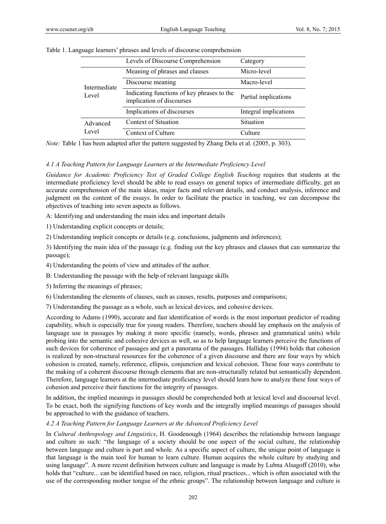|                       | Levels of Discourse Comprehension                                       | Category              |
|-----------------------|-------------------------------------------------------------------------|-----------------------|
| Intermediate<br>Level | Meaning of phrases and clauses                                          | Micro-level           |
|                       | Discourse meaning                                                       | Macro-level           |
|                       | Indicating functions of key phrases to the<br>implication of discourses | Partial implications  |
|                       | Implications of discourses                                              | Integral implications |
| Advanced<br>Level     | Context of Situation                                                    | <b>Situation</b>      |
|                       | Context of Culture                                                      | Culture               |

#### Table 1. Language learners' phrases and levels of discourse comprehension

*Note:* Table 1 has been adapted after the pattern suggested by Zhang Delu et al. (2005, p. 303).

#### *4.1 A Teaching Pattern for Language Learners at the Intermediate Proficiency Level*

Guidance for Academic Proficiency Test of Graded College English Teaching requires that students at the intermediate proficiency level should be able to read essays on general topics of intermediate difficulty, get an accurate comprehension of the main ideas, major facts and relevant details, and conduct analysis, inference and judgment on the content of the essays. In order to facilitate the practice in teaching, we can decompose the objectives of teaching into seven aspects as follows.

A: Identifying and understanding the main idea and important details

1) Understanding explicit concepts or details;

2) Understanding implicit concepts or details (e.g. conclusions, judgments and inferences);

3) Identifying the main idea of the passage (e.g. finding out the key phrases and clauses that can summarize the passage);

4) Understanding the points of view and attitudes of the author.

B: Understanding the passage with the help of relevant language skills

5) Inferring the meanings of phrases;

6) Understanding the elements of clauses, such as causes, results, purposes and comparisons;

7) Understanding the passage as a whole, such as lexical devices, and cohesive devices.

According to Adams (1990), accurate and fast identification of words is the most important predictor of reading capability, which is especially true for young readers. Therefore, teachers should lay emphasis on the analysis of language use in passages by making it more specific (namely, words, phrases and grammatical units) while probing into the semantic and cohesive devices as well, so as to help language learners perceive the functions of such devices for coherence of passages and get a panorama of the passages. Halliday (1994) holds that cohesion is realized by non-structural resources for the coherence of a given discourse and there are four ways by which cohesion is created, namely, reference, ellipsis, conjunction and lexical cohesion. These four ways contribute to the making of a coherent discourse through elements that are non-structurally related but semantically dependent. Therefore, language learners at the intermediate proficiency level should learn how to analyze these four ways of cohesion and perceive their functions for the integrity of passages.

In addition, the implied meanings in passages should be comprehended both at lexical level and discoursal level. To be exact, both the signifying functions of key words and the integrally implied meanings of passages should be approached to with the guidance of teachers.

#### *4.2 A Teaching Pattern for Language Learners at the Advanced Proficiency Level*

In *Cultural Anthropology and Linguistics*, H. Goodenough (1964) describes the relationship between language and culture as such: "the language of a society should be one aspect of the social culture, the relationship between language and culture is part and whole. As a specific aspect of culture, the unique point of language is that language is the main tool for human to learn culture. Human acquires the whole culture by studying and using language". A more recent definition between culture and language is made by Lubna Alsagoff (2010), who holds that "culture... can be identified based on race, religion, ritual practices... which is often associated with the use of the corresponding mother tongue of the ethnic groups". The relationship between language and culture is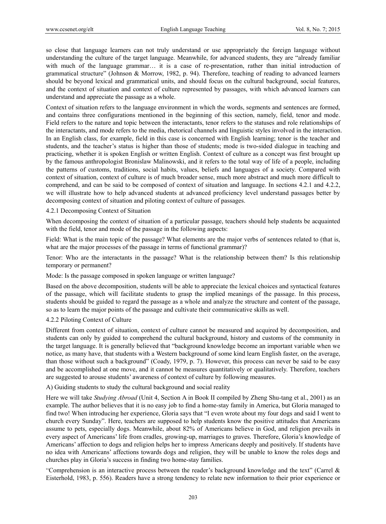so close that language learners can not truly understand or use appropriately the foreign language without understanding the culture of the target language. Meanwhile, for advanced students, they are "already familiar with much of the language grammar... it is a case of re-presentation, rather than initial introduction of grammatical structure" (Johnson & Morrow, 1982, p. 94). Therefore, teaching of reading to advanced learners should be beyond lexical and grammatical units, and should focus on the cultural background, social features, and the context of situation and context of culture represented by passages, with which advanced learners can understand and appreciate the passage as a whole.

Context of situation refers to the language environment in which the words, segments and sentences are formed, and contains three configurations mentioned in the beginning of this section, namely, field, tenor and mode. Field refers to the nature and topic between the interactants, tenor refers to the statuses and role relationships of the interactants, and mode refers to the media, rhetorical channels and linguistic styles involved in the interaction. In an English class, for example, field in this case is concerned with English learning; tenor is the teacher and students, and the teacher's status is higher than those of students; mode is two-sided dialogue in teaching and practicing, whether it is spoken English or written English. Context of culture as a concept was first brought up by the famous anthropologist Bronislaw Malinowski, and it refers to the total way of life of a people, including the patterns of customs, traditions, social habits, values, beliefs and languages of a society. Compared with context of situation, context of culture is of much broader sense, much more abstract and much more difficult to comprehend, and can be said to be composed of context of situation and language. In sections 4.2.1 and 4.2.2, we will illustrate how to help advanced students at advanced proficiency level understand passages better by decomposing context of situation and piloting context of culture of passages.

#### 4.2.1 Decomposing Context of Situation

When decomposing the context of situation of a particular passage, teachers should help students be acquainted with the field, tenor and mode of the passage in the following aspects:

Field: What is the main topic of the passage? What elements are the major verbs of sentences related to (that is, what are the major processes of the passage in terms of functional grammar)?

Tenor: Who are the interactants in the passage? What is the relationship between them? Is this relationship temporary or permanent?

Mode: Is the passage composed in spoken language or written language?

Based on the above decomposition, students will be able to appreciate the lexical choices and syntactical features of the passage, which will facilitate students to grasp the implied meanings of the passage. In this process, students should be guided to regard the passage as a whole and analyze the structure and content of the passage, so as to learn the major points of the passage and cultivate their communicative skills as well.

## 4.2.2 Piloting Context of Culture

Different from context of situation, context of culture cannot be measured and acquired by decomposition, and students can only by guided to comprehend the cultural background, history and customs of the community in the target language. It is generally believed that "background knowledge become an important variable when we notice, as many have, that students with a Western background of some kind learn English faster, on the average, than those without such a background" (Coady, 1979, p. 7). However, this process can never be said to be easy and be accomplished at one move, and it cannot be measures quantitatively or qualitatively. Therefore, teachers are suggested to arouse students' awareness of context of culture by following measures.

A) Guiding students to study the cultural background and social reality

Here we will take *Studying Abroad* (Unit 4, Section A in Book II compiled by Zheng Shu-tang et al., 2001) as an example. The author believes that it is no easy job to find a home-stay family in America, but Gloria managed to find two! When introducing her experience, Gloria says that "I even wrote about my four dogs and said I went to church every Sunday". Here, teachers are supposed to help students know the positive attitudes that Americans assume to pets, especially dogs. Meanwhile, about 82% of Americans believe in God, and religion prevails in every aspect of Americans' life from cradles, growing-up, marriages to graves. Therefore, Gloria's knowledge of Americans' affection to dogs and religion helps her to impress Americans deeply and positively. If students have no idea with Americans' affections towards dogs and religion, they will be unable to know the roles dogs and churches play in Gloria's success in finding two home-stay families.

"Comprehension is an interactive process between the reader's background knowledge and the text" (Carrel  $\&$ Eisterhold, 1983, p. 556). Readers have a strong tendency to relate new information to their prior experience or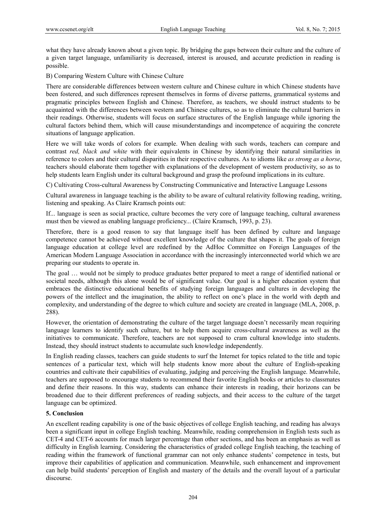what they have already known about a given topic. By bridging the gaps between their culture and the culture of a given target language, unfamiliarity is decreased, interest is aroused, and accurate prediction in reading is possible.

B) Comparing Western Culture with Chinese Culture

There are considerable differences between western culture and Chinese culture in which Chinese students have been fostered, and such differences represent themselves in forms of diverse patterns, grammatical systems and pragmatic principles between English and Chinese. Therefore, as teachers, we should instruct students to be acquainted with the differences between western and Chinese cultures, so as to eliminate the cultural barriers in their readings. Otherwise, students will focus on surface structures of the English language while ignoring the cultural factors behind them, which will cause misunderstandings and incompetence of acquiring the concrete situations of language application.

Here we will take words of colors for example. When dealing with such words, teachers can compare and contrast *red, black and white* with their equivalents in Chinese by identifying their natural similarities in reference to colors and their cultural disparities in their respective cultures. As to idioms like *as strong as a horse*, teachers should elaborate them together with explanations of the development of western productivity, so as to help students learn English under its cultural background and grasp the profound implications in its culture.

C) Cultivating Cross-cultural Awareness by Constructing Communicative and Interactive Language Lessons

Cultural awareness in language teaching is the ability to be aware of cultural relativity following reading, writing, listening and speaking. As Claire Kramsch points out:

If... language is seen as social practice, culture becomes the very core of language teaching, cultural awareness must then be viewed as enabling language proficiency... (Claire Kramsch, 1993, p. 23).

Therefore, there is a good reason to say that language itself has been defined by culture and language competence cannot be achieved without excellent knowledge of the culture that shapes it. The goals of foreign language education at college level are redefined by the AdHoc Committee on Foreign Languages of the American Modern Language Association in accordance with the increasingly interconnected world which we are preparing our students to operate in.

The goal … would not be simply to produce graduates better prepared to meet a range of identified national or societal needs, although this alone would be of significant value. Our goal is a higher education system that embraces the distinctive educational benefits of studying foreign languages and cultures in developing the powers of the intellect and the imagination, the ability to reflect on one's place in the world with depth and complexity, and understanding of the degree to which culture and society are created in language (MLA, 2008, p. 288).

However, the orientation of demonstrating the culture of the target language doesn't necessarily mean requiring language learners to identify such culture, but to help them acquire cross-cultural awareness as well as the initiatives to communicate. Therefore, teachers are not supposed to cram cultural knowledge into students. Instead, they should instruct students to accumulate such knowledge independently.

In English reading classes, teachers can guide students to surf the Internet for topics related to the title and topic sentences of a particular text, which will help students know more about the culture of English-speaking countries and cultivate their capabilities of evaluating, judging and perceiving the English language. Meanwhile, teachers are supposed to encourage students to recommend their favorite English books or articles to classmates and define their reasons. In this way, students can enhance their interests in reading, their horizons can be broadened due to their different preferences of reading subjects, and their access to the culture of the target language can be optimized.

## **5. Conclusion**

An excellent reading capability is one of the basic objectives of college English teaching, and reading has always been a significant input in college English teaching. Meanwhile, reading comprehension in English tests such as CET-4 and CET-6 accounts for much larger percentage than other sections, and has been an emphasis as well as difficulty in English learning. Considering the characteristics of graded college English teaching, the teaching of reading within the framework of functional grammar can not only enhance students' competence in tests, but improve their capabilities of application and communication. Meanwhile, such enhancement and improvement can help build students' perception of English and mastery of the details and the overall layout of a particular discourse.